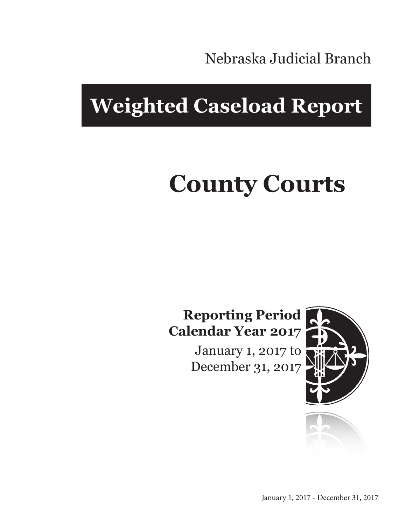Nebraska Judicial Branch

# **Weighted Caseload Report**

# **County Courts**

#### **Reporting Period Calendar Year 2017**

January 1, 2017 to December 31, 2017



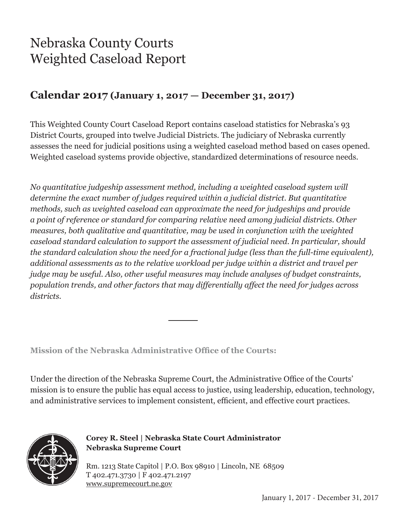## Nebraska County Courts Weighted Caseload Report

#### **Calendar 2017 (January 1, 2017 — December 31, 2017)**

This Weighted County Court Caseload Report contains caseload statistics for Nebraska's 93 District Courts, grouped into twelve Judicial Districts. The judiciary of Nebraska currently assesses the need for judicial positions using a weighted caseload method based on cases opened. Weighted caseload systems provide objective, standardized determinations of resource needs.

*No quantitative judgeship assessment method, including a weighted caseload system will determine the exact number of judges required within a judicial district. But quantitative methods, such as weighted caseload can approximate the need for judgeships and provide a point of reference or standard for comparing relative need among judicial districts. Other measures, both qualitative and quantitative, may be used in conjunction with the weighted caseload standard calculation to support the assessment of judicial need. In particular, should the standard calculation show the need for a fractional judge (less than the full-time equivalent), additional assessments as to the relative workload per judge within a district and travel per judge may be useful. Also, other useful measures may include analyses of budget constraints, population trends, and other factors that may differentially affect the need for judges across districts.*

**Mission of the Nebraska Administrative Office of the Courts:**

Under the direction of the Nebraska Supreme Court, the Administrative Office of the Courts' mission is to ensure the public has equal access to justice, using leadership, education, technology, and administrative services to implement consistent, efficient, and effective court practices.



**Corey R. Steel | Nebraska State Court Administrator Nebraska Supreme Court**

Rm. 1213 State Capitol | P.O. Box 98910 | Lincoln, NE 68509 T 402.471.3730 | F 402.471.2197 www.supremecourt.ne.gov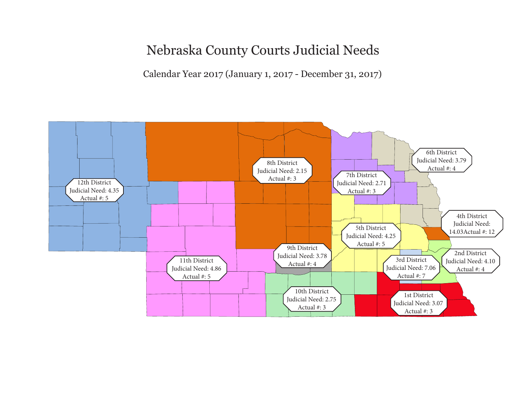Nebraska County Courts Judicial Needs

Calendar Year 2017 (January 1, 2017 - December 31, 2017)

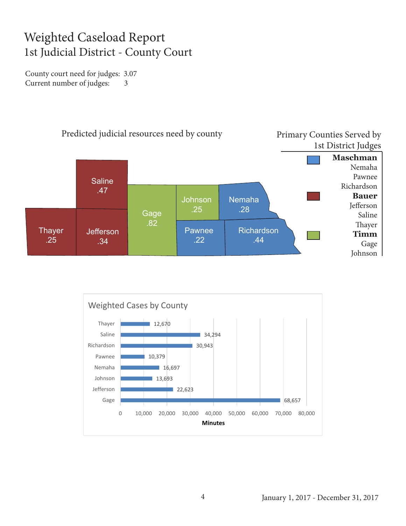#### Weighted Caseload Report 1st Judicial District - County Court

County court need for judges: 3.07 Current number of judges: 3



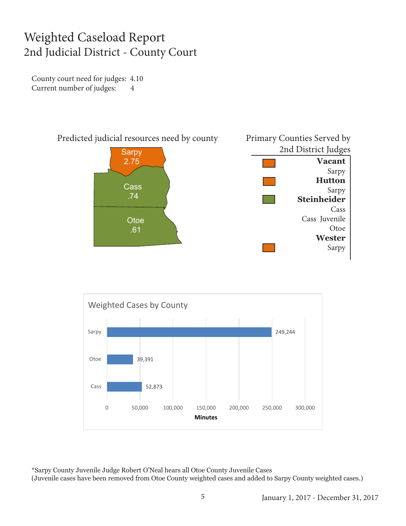#### Weighted Caseload Report 2nd Judicial District - County Court

County court need for judges: 4.10 Current number of judges: 4





\*Sarpy County Juvenile Judge Robert O'Neal hears all Otoe County Juvenile Cases (Juvenile cases have been removed from Otoe County weighted cases and added to Sarpy County weighted cases.)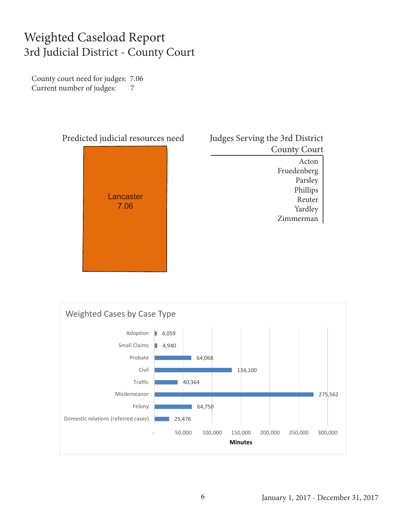#### Weighted Caseload Report 3rd Judicial District - County Court

County court need for judges: 7.06 Current number of judges: 7



| Judges Serving the 3rd District |                     |
|---------------------------------|---------------------|
|                                 | <b>County Court</b> |
|                                 | Acton               |
|                                 | Fruedenberg         |
|                                 | Parsley             |
|                                 | Phillips            |
|                                 | Reuter              |
|                                 | Yardley             |
|                                 | merman<br>Zin       |

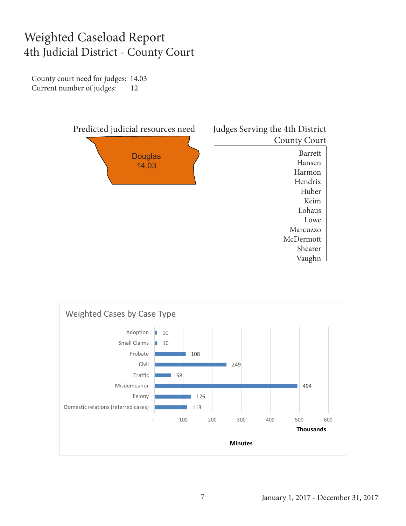#### Weighted Caseload Report 4th Judicial District - County Court

County court need for judges: 14.03 Current number of judges: 12



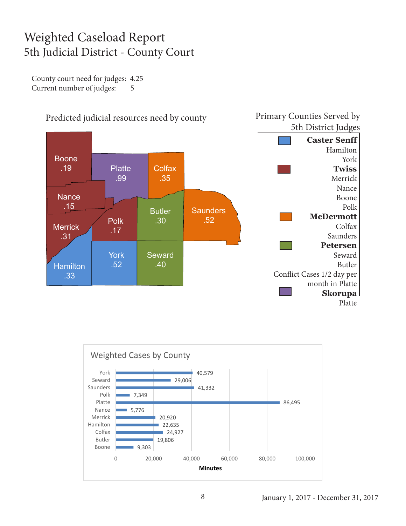### Weighted Caseload Report 5th Judicial District - County Court

County court need for judges: 4.25 Current number of judges: 5



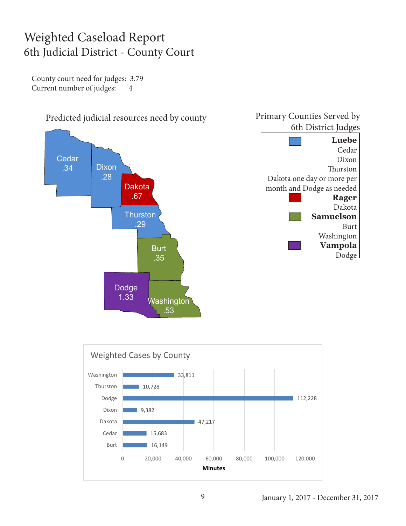#### Weighted Caseload Report 6th Judicial District - County Court

County court need for judges: 3.79 Current number of judges: 4

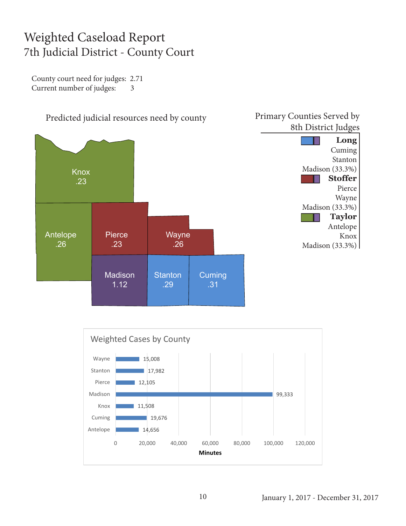#### Weighted Caseload Report 7th Judicial District - County Court

County court need for judges: 2.71 Current number of judges: 3





#### Primary Counties Served by 8th District Judges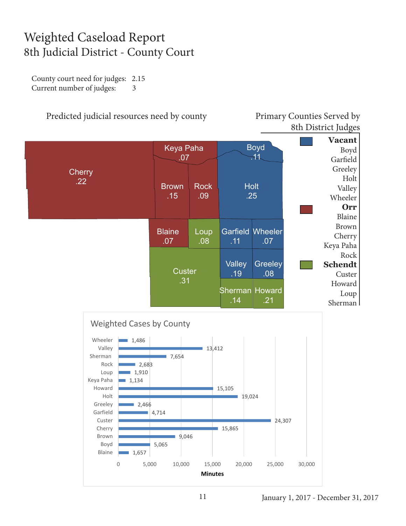### Weighted Caseload Report 8th Judicial District - County Court

County court need for judges: 2.15 Current number of judges: 3

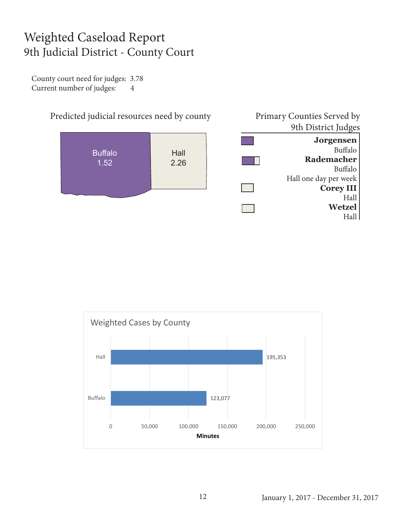#### Weighted Caseload Report 9th Judicial District - County Court

County court need for judges: 3.78 Current number of judges: 4





January 1, 2017 - December 31, 2017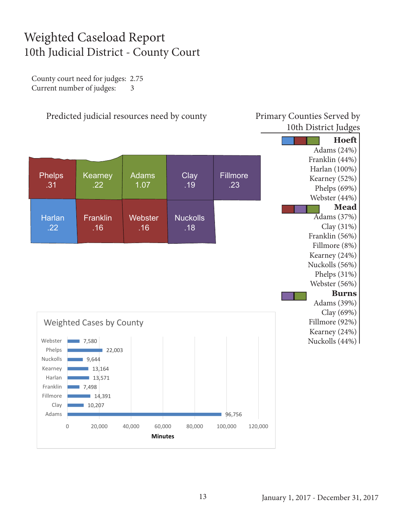### Weighted Caseload Report 10th Judicial District - County Court

County court need for judges: 2.75 Current number of judges: 3

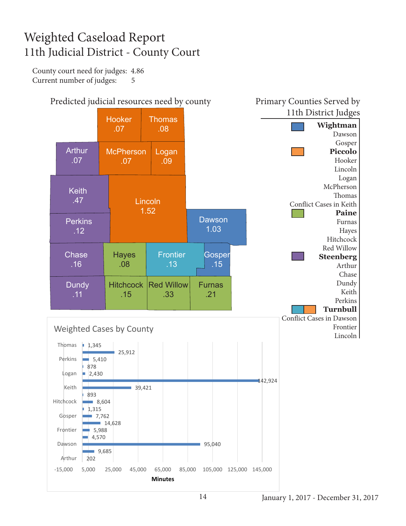## Weighted Caseload Report 11th Judicial District - County Court

County court need for judges: 4.86 Current number of judges: 5